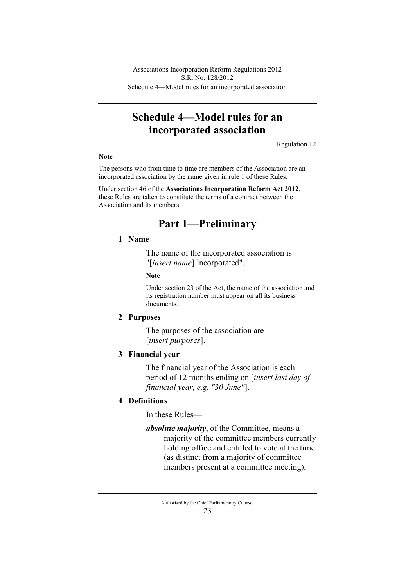# **Schedule 4—Model rules for an incorporated association**

Regulation 12

#### **Note**

The persons who from time to time are members of the Association are an incorporated association by the name given in rule 1 of these Rules.

Under section 46 of the **Associations Incorporation Reform Act 2012**, these Rules are taken to constitute the terms of a contract between the Association and its members.

# **Part 1—Preliminary**

### **1 Name**

The name of the incorporated association is "[*insert name*] Incorporated".

#### **Note**

Under section 23 of the Act, the name of the association and its registration number must appear on all its business documents.

# **2 Purposes**

The purposes of the association are— [*insert purposes*].

## **3 Financial year**

The financial year of the Association is each period of 12 months ending on [*insert last day of financial year, e.g. "30 June"*].

# **4 Definitions**

In these Rules—

*absolute majority*, of the Committee, means a majority of the committee members currently holding office and entitled to vote at the time (as distinct from a majority of committee members present at a committee meeting);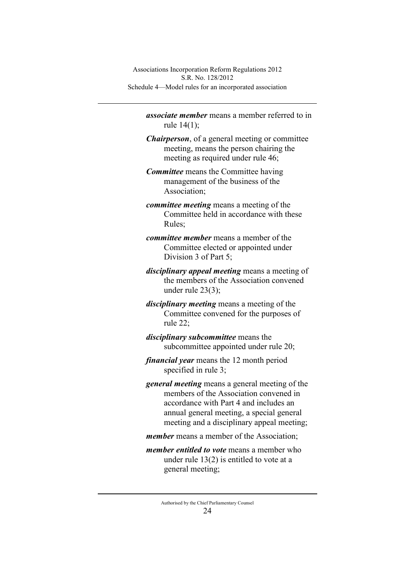> *associate member* means a member referred to in rule 14(1);

*Chairperson*, of a general meeting or committee meeting, means the person chairing the meeting as required under rule 46;

*Committee* means the Committee having management of the business of the Association;

*committee meeting* means a meeting of the Committee held in accordance with these Rules;

*committee member* means a member of the Committee elected or appointed under Division 3 of Part 5;

*disciplinary appeal meeting* means a meeting of the members of the Association convened under rule 23(3);

*disciplinary meeting* means a meeting of the Committee convened for the purposes of rule 22;

*disciplinary subcommittee* means the subcommittee appointed under rule 20;

*financial year* means the 12 month period specified in rule 3;

*general meeting* means a general meeting of the members of the Association convened in accordance with Part 4 and includes an annual general meeting, a special general meeting and a disciplinary appeal meeting;

*member* means a member of the Association;

*member entitled to vote* means a member who under rule 13(2) is entitled to vote at a general meeting;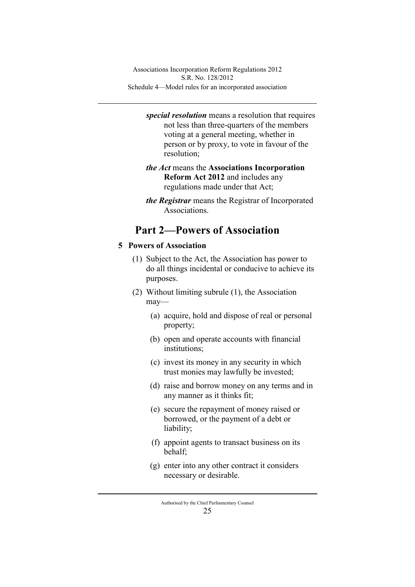> *special resolution* means a resolution that requires not less than three-quarters of the members voting at a general meeting, whether in person or by proxy, to vote in favour of the resolution;

- *the Act* means the **Associations Incorporation Reform Act 2012** and includes any regulations made under that Act;
- *the Registrar* means the Registrar of Incorporated Associations.

# **Part 2—Powers of Association**

# **5 Powers of Association**

- (1) Subject to the Act, the Association has power to do all things incidental or conducive to achieve its purposes.
- (2) Without limiting subrule (1), the Association may—
	- (a) acquire, hold and dispose of real or personal property;
	- (b) open and operate accounts with financial institutions;
	- (c) invest its money in any security in which trust monies may lawfully be invested;
	- (d) raise and borrow money on any terms and in any manner as it thinks fit;
	- (e) secure the repayment of money raised or borrowed, or the payment of a debt or liability;
	- (f) appoint agents to transact business on its behalf;
	- (g) enter into any other contract it considers necessary or desirable.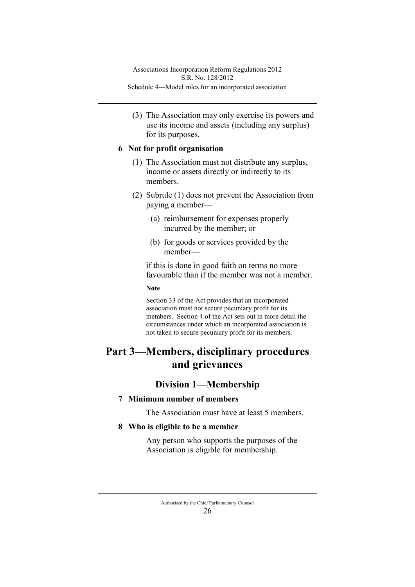(3) The Association may only exercise its powers and use its income and assets (including any surplus) for its purposes.

# **6 Not for profit organisation**

- (1) The Association must not distribute any surplus, income or assets directly or indirectly to its members.
- (2) Subrule (1) does not prevent the Association from paying a member—
	- (a) reimbursement for expenses properly incurred by the member; or
	- (b) for goods or services provided by the member—

if this is done in good faith on terms no more favourable than if the member was not a member.

### **Note**

Section 33 of the Act provides that an incorporated association must not secure pecuniary profit for its members. Section 4 of the Act sets out in more detail the circumstances under which an incorporated association is not taken to secure pecuniary profit for its members.

# **Part 3—Members, disciplinary procedures and grievances**

# **Division 1—Membership**

# **7 Minimum number of members**

The Association must have at least 5 members.

# **8 Who is eligible to be a member**

Any person who supports the purposes of the Association is eligible for membership.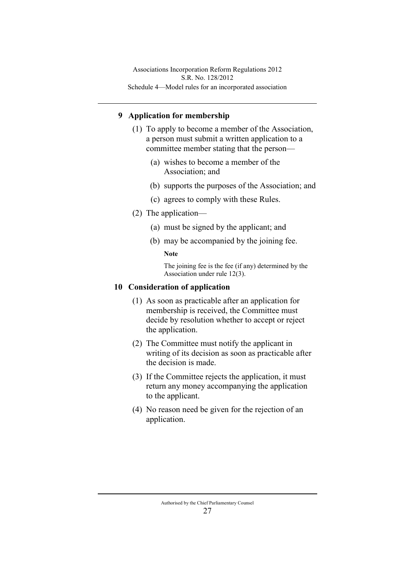# **9 Application for membership**

- (1) To apply to become a member of the Association, a person must submit a written application to a committee member stating that the person—
	- (a) wishes to become a member of the Association; and
	- (b) supports the purposes of the Association; and
	- (c) agrees to comply with these Rules.
- (2) The application—
	- (a) must be signed by the applicant; and
	- (b) may be accompanied by the joining fee.

#### **Note**

The joining fee is the fee (if any) determined by the Association under rule 12(3).

## **10 Consideration of application**

- (1) As soon as practicable after an application for membership is received, the Committee must decide by resolution whether to accept or reject the application.
- (2) The Committee must notify the applicant in writing of its decision as soon as practicable after the decision is made.
- (3) If the Committee rejects the application, it must return any money accompanying the application to the applicant.
- (4) No reason need be given for the rejection of an application.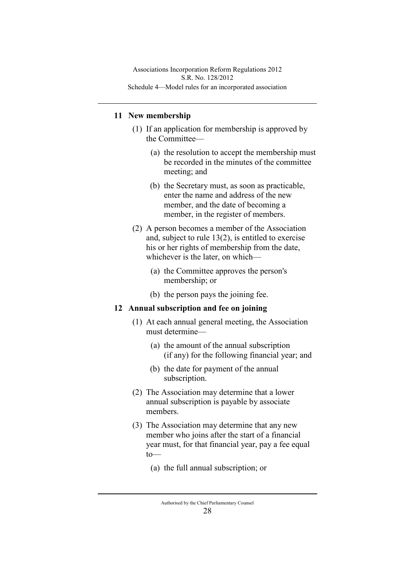# **11 New membership**

- (1) If an application for membership is approved by the Committee—
	- (a) the resolution to accept the membership must be recorded in the minutes of the committee meeting; and
	- (b) the Secretary must, as soon as practicable, enter the name and address of the new member, and the date of becoming a member, in the register of members.
- (2) A person becomes a member of the Association and, subject to rule 13(2), is entitled to exercise his or her rights of membership from the date, whichever is the later, on which—
	- (a) the Committee approves the person's membership; or
	- (b) the person pays the joining fee.

# **12 Annual subscription and fee on joining**

- (1) At each annual general meeting, the Association must determine—
	- (a) the amount of the annual subscription (if any) for the following financial year; and
	- (b) the date for payment of the annual subscription.
- (2) The Association may determine that a lower annual subscription is payable by associate members.
- (3) The Association may determine that any new member who joins after the start of a financial year must, for that financial year, pay a fee equal to—
	- (a) the full annual subscription; or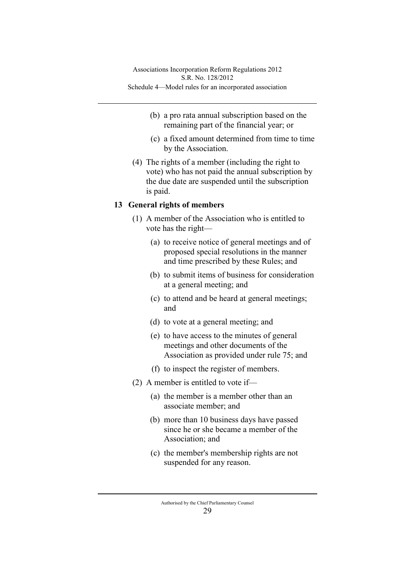- (b) a pro rata annual subscription based on the remaining part of the financial year; or
- (c) a fixed amount determined from time to time by the Association.
- (4) The rights of a member (including the right to vote) who has not paid the annual subscription by the due date are suspended until the subscription is paid.

### **13 General rights of members**

- (1) A member of the Association who is entitled to vote has the right—
	- (a) to receive notice of general meetings and of proposed special resolutions in the manner and time prescribed by these Rules; and
	- (b) to submit items of business for consideration at a general meeting; and
	- (c) to attend and be heard at general meetings; and
	- (d) to vote at a general meeting; and
	- (e) to have access to the minutes of general meetings and other documents of the Association as provided under rule 75; and
	- (f) to inspect the register of members.
- (2) A member is entitled to vote if—
	- (a) the member is a member other than an associate member; and
	- (b) more than 10 business days have passed since he or she became a member of the Association; and
	- (c) the member's membership rights are not suspended for any reason.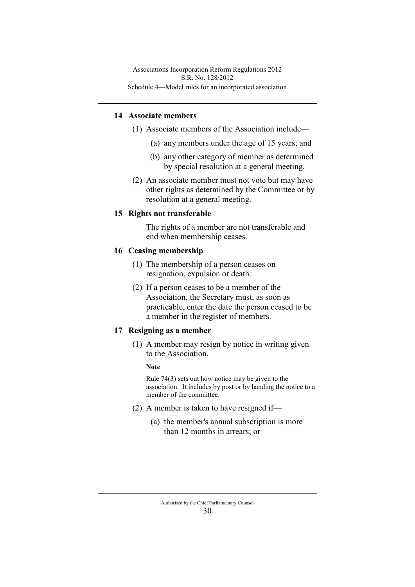# **14 Associate members**

- (1) Associate members of the Association include—
	- (a) any members under the age of 15 years; and
	- (b) any other category of member as determined by special resolution at a general meeting.
- (2) An associate member must not vote but may have other rights as determined by the Committee or by resolution at a general meeting.

### **15 Rights not transferable**

The rights of a member are not transferable and end when membership ceases.

# **16 Ceasing membership**

- (1) The membership of a person ceases on resignation, expulsion or death.
- (2) If a person ceases to be a member of the Association, the Secretary must, as soon as practicable, enter the date the person ceased to be a member in the register of members.

## **17 Resigning as a member**

(1) A member may resign by notice in writing given to the Association.

### **Note**

Rule 74(3) sets out how notice may be given to the association. It includes by post or by handing the notice to a member of the committee.

- (2) A member is taken to have resigned if—
	- (a) the member's annual subscription is more than 12 months in arrears; or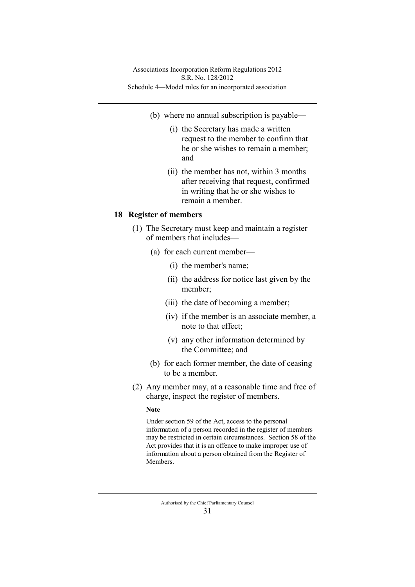- (b) where no annual subscription is payable—
	- (i) the Secretary has made a written request to the member to confirm that he or she wishes to remain a member; and
	- (ii) the member has not, within 3 months after receiving that request, confirmed in writing that he or she wishes to remain a member.

## **18 Register of members**

- (1) The Secretary must keep and maintain a register of members that includes—
	- (a) for each current member—
		- (i) the member's name;
		- (ii) the address for notice last given by the member;
		- (iii) the date of becoming a member;
		- (iv) if the member is an associate member, a note to that effect;
		- (v) any other information determined by the Committee; and
	- (b) for each former member, the date of ceasing to be a member.
- (2) Any member may, at a reasonable time and free of charge, inspect the register of members.

### **Note**

Under section 59 of the Act, access to the personal information of a person recorded in the register of members may be restricted in certain circumstances. Section 58 of the Act provides that it is an offence to make improper use of information about a person obtained from the Register of Members.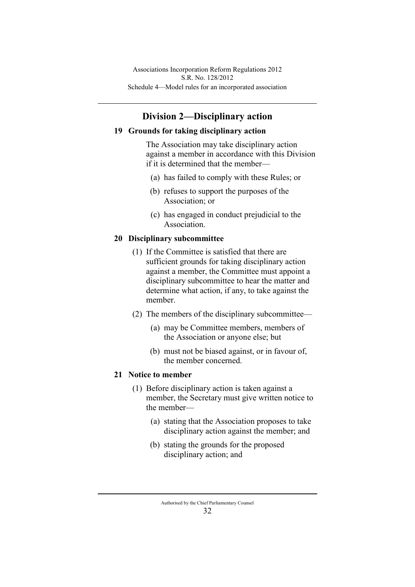# **Division 2—Disciplinary action**

## **19 Grounds for taking disciplinary action**

The Association may take disciplinary action against a member in accordance with this Division if it is determined that the member—

- (a) has failed to comply with these Rules; or
- (b) refuses to support the purposes of the Association; or
- (c) has engaged in conduct prejudicial to the Association.

## **20 Disciplinary subcommittee**

- (1) If the Committee is satisfied that there are sufficient grounds for taking disciplinary action against a member, the Committee must appoint a disciplinary subcommittee to hear the matter and determine what action, if any, to take against the member.
- (2) The members of the disciplinary subcommittee—
	- (a) may be Committee members, members of the Association or anyone else; but
	- (b) must not be biased against, or in favour of, the member concerned.

# **21 Notice to member**

- (1) Before disciplinary action is taken against a member, the Secretary must give written notice to the member—
	- (a) stating that the Association proposes to take disciplinary action against the member; and
	- (b) stating the grounds for the proposed disciplinary action; and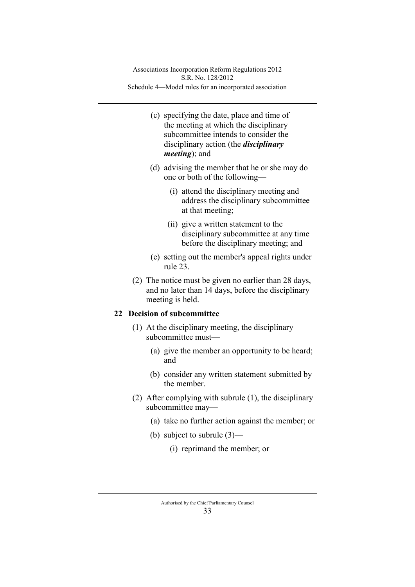- (c) specifying the date, place and time of the meeting at which the disciplinary subcommittee intends to consider the disciplinary action (the *disciplinary meeting*); and
- (d) advising the member that he or she may do one or both of the following—
	- (i) attend the disciplinary meeting and address the disciplinary subcommittee at that meeting;
	- (ii) give a written statement to the disciplinary subcommittee at any time before the disciplinary meeting; and
- (e) setting out the member's appeal rights under rule 23.
- (2) The notice must be given no earlier than 28 days, and no later than 14 days, before the disciplinary meeting is held.

# **22 Decision of subcommittee**

- (1) At the disciplinary meeting, the disciplinary subcommittee must—
	- (a) give the member an opportunity to be heard; and
	- (b) consider any written statement submitted by the member.
- (2) After complying with subrule (1), the disciplinary subcommittee may—
	- (a) take no further action against the member; or
	- (b) subject to subrule (3)—
		- (i) reprimand the member; or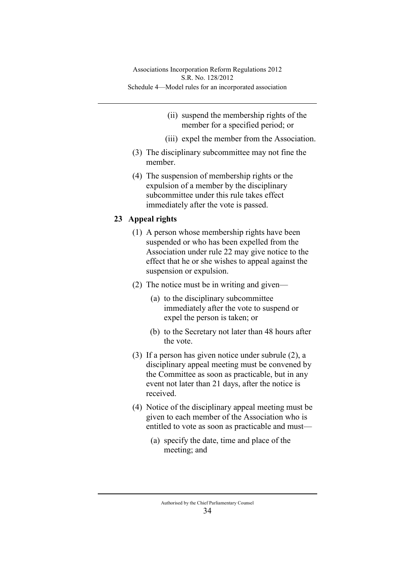- (ii) suspend the membership rights of the member for a specified period; or
- (iii) expel the member from the Association.
- (3) The disciplinary subcommittee may not fine the member.
- (4) The suspension of membership rights or the expulsion of a member by the disciplinary subcommittee under this rule takes effect immediately after the vote is passed.

# **23 Appeal rights**

- (1) A person whose membership rights have been suspended or who has been expelled from the Association under rule 22 may give notice to the effect that he or she wishes to appeal against the suspension or expulsion.
- (2) The notice must be in writing and given—
	- (a) to the disciplinary subcommittee immediately after the vote to suspend or expel the person is taken; or
	- (b) to the Secretary not later than 48 hours after the vote.
- (3) If a person has given notice under subrule (2), a disciplinary appeal meeting must be convened by the Committee as soon as practicable, but in any event not later than 21 days, after the notice is received.
- (4) Notice of the disciplinary appeal meeting must be given to each member of the Association who is entitled to vote as soon as practicable and must—
	- (a) specify the date, time and place of the meeting; and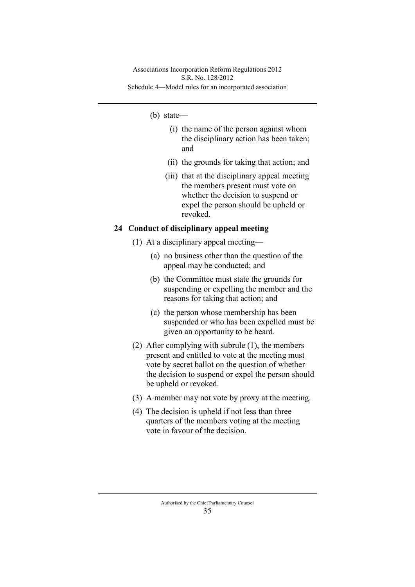### (b) state—

- (i) the name of the person against whom the disciplinary action has been taken; and
- (ii) the grounds for taking that action; and
- (iii) that at the disciplinary appeal meeting the members present must vote on whether the decision to suspend or expel the person should be upheld or revoked.

## **24 Conduct of disciplinary appeal meeting**

- (1) At a disciplinary appeal meeting—
	- (a) no business other than the question of the appeal may be conducted; and
	- (b) the Committee must state the grounds for suspending or expelling the member and the reasons for taking that action; and
	- (c) the person whose membership has been suspended or who has been expelled must be given an opportunity to be heard.
- (2) After complying with subrule (1), the members present and entitled to vote at the meeting must vote by secret ballot on the question of whether the decision to suspend or expel the person should be upheld or revoked.
- (3) A member may not vote by proxy at the meeting.
- (4) The decision is upheld if not less than three quarters of the members voting at the meeting vote in favour of the decision.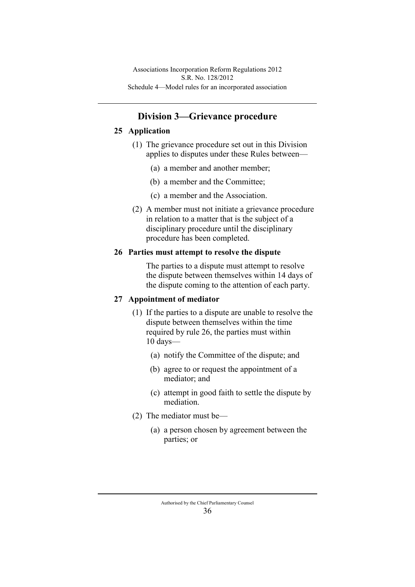# **Division 3—Grievance procedure**

# **25 Application**

- (1) The grievance procedure set out in this Division applies to disputes under these Rules between—
	- (a) a member and another member;
	- (b) a member and the Committee;
	- (c) a member and the Association.
- (2) A member must not initiate a grievance procedure in relation to a matter that is the subject of a disciplinary procedure until the disciplinary procedure has been completed.

## **26 Parties must attempt to resolve the dispute**

The parties to a dispute must attempt to resolve the dispute between themselves within 14 days of the dispute coming to the attention of each party.

## **27 Appointment of mediator**

- (1) If the parties to a dispute are unable to resolve the dispute between themselves within the time required by rule 26, the parties must within 10 days—
	- (a) notify the Committee of the dispute; and
	- (b) agree to or request the appointment of a mediator; and
	- (c) attempt in good faith to settle the dispute by mediation.
- (2) The mediator must be—
	- (a) a person chosen by agreement between the parties; or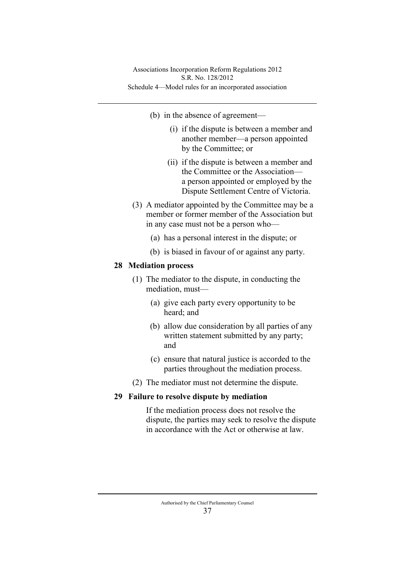- (b) in the absence of agreement—
	- (i) if the dispute is between a member and another member—a person appointed by the Committee; or
	- (ii) if the dispute is between a member and the Committee or the Association a person appointed or employed by the Dispute Settlement Centre of Victoria.
- (3) A mediator appointed by the Committee may be a member or former member of the Association but in any case must not be a person who—
	- (a) has a personal interest in the dispute; or
	- (b) is biased in favour of or against any party.

# **28 Mediation process**

- (1) The mediator to the dispute, in conducting the mediation, must—
	- (a) give each party every opportunity to be heard; and
	- (b) allow due consideration by all parties of any written statement submitted by any party; and
	- (c) ensure that natural justice is accorded to the parties throughout the mediation process.
- (2) The mediator must not determine the dispute.

# **29 Failure to resolve dispute by mediation**

If the mediation process does not resolve the dispute, the parties may seek to resolve the dispute in accordance with the Act or otherwise at law.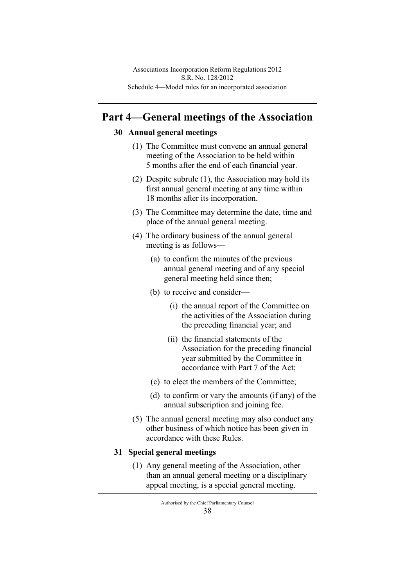# **Part 4—General meetings of the Association**

# **30 Annual general meetings**

- (1) The Committee must convene an annual general meeting of the Association to be held within 5 months after the end of each financial year.
- (2) Despite subrule (1), the Association may hold its first annual general meeting at any time within 18 months after its incorporation.
- (3) The Committee may determine the date, time and place of the annual general meeting.
- (4) The ordinary business of the annual general meeting is as follows—
	- (a) to confirm the minutes of the previous annual general meeting and of any special general meeting held since then;
	- (b) to receive and consider—
		- (i) the annual report of the Committee on the activities of the Association during the preceding financial year; and
		- (ii) the financial statements of the Association for the preceding financial year submitted by the Committee in accordance with Part 7 of the Act;
	- (c) to elect the members of the Committee;
	- (d) to confirm or vary the amounts (if any) of the annual subscription and joining fee.
- (5) The annual general meeting may also conduct any other business of which notice has been given in accordance with these Rules.

### **31 Special general meetings**

(1) Any general meeting of the Association, other than an annual general meeting or a disciplinary appeal meeting, is a special general meeting.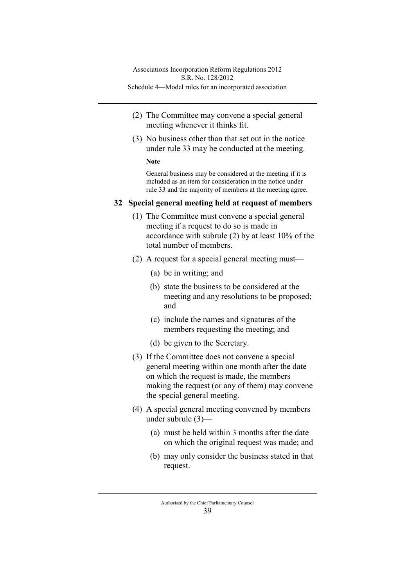- (2) The Committee may convene a special general meeting whenever it thinks fit.
- (3) No business other than that set out in the notice under rule 33 may be conducted at the meeting.

#### **Note**

General business may be considered at the meeting if it is included as an item for consideration in the notice under rule 33 and the majority of members at the meeting agree.

# **32 Special general meeting held at request of members**

- (1) The Committee must convene a special general meeting if a request to do so is made in accordance with subrule (2) by at least 10% of the total number of members.
- (2) A request for a special general meeting must—
	- (a) be in writing; and
	- (b) state the business to be considered at the meeting and any resolutions to be proposed; and
	- (c) include the names and signatures of the members requesting the meeting; and
	- (d) be given to the Secretary.
- (3) If the Committee does not convene a special general meeting within one month after the date on which the request is made, the members making the request (or any of them) may convene the special general meeting.
- (4) A special general meeting convened by members under subrule (3)—
	- (a) must be held within 3 months after the date on which the original request was made; and
	- (b) may only consider the business stated in that request.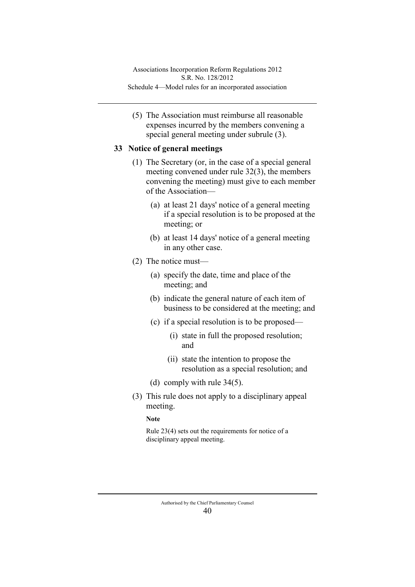(5) The Association must reimburse all reasonable expenses incurred by the members convening a special general meeting under subrule (3).

# **33 Notice of general meetings**

- (1) The Secretary (or, in the case of a special general meeting convened under rule 32(3), the members convening the meeting) must give to each member of the Association—
	- (a) at least 21 days' notice of a general meeting if a special resolution is to be proposed at the meeting; or
	- (b) at least 14 days' notice of a general meeting in any other case.
- (2) The notice must—
	- (a) specify the date, time and place of the meeting; and
	- (b) indicate the general nature of each item of business to be considered at the meeting; and
	- (c) if a special resolution is to be proposed—
		- (i) state in full the proposed resolution; and
		- (ii) state the intention to propose the resolution as a special resolution; and
	- (d) comply with rule 34(5).
- (3) This rule does not apply to a disciplinary appeal meeting.

# **Note**

Rule 23(4) sets out the requirements for notice of a disciplinary appeal meeting.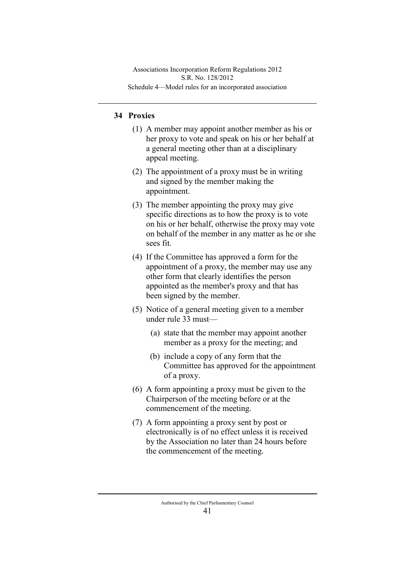# **34 Proxies**

- (1) A member may appoint another member as his or her proxy to vote and speak on his or her behalf at a general meeting other than at a disciplinary appeal meeting.
- (2) The appointment of a proxy must be in writing and signed by the member making the appointment.
- (3) The member appointing the proxy may give specific directions as to how the proxy is to vote on his or her behalf, otherwise the proxy may vote on behalf of the member in any matter as he or she sees fit.
- (4) If the Committee has approved a form for the appointment of a proxy, the member may use any other form that clearly identifies the person appointed as the member's proxy and that has been signed by the member.
- (5) Notice of a general meeting given to a member under rule 33 must—
	- (a) state that the member may appoint another member as a proxy for the meeting; and
	- (b) include a copy of any form that the Committee has approved for the appointment of a proxy.
- (6) A form appointing a proxy must be given to the Chairperson of the meeting before or at the commencement of the meeting.
- (7) A form appointing a proxy sent by post or electronically is of no effect unless it is received by the Association no later than 24 hours before the commencement of the meeting.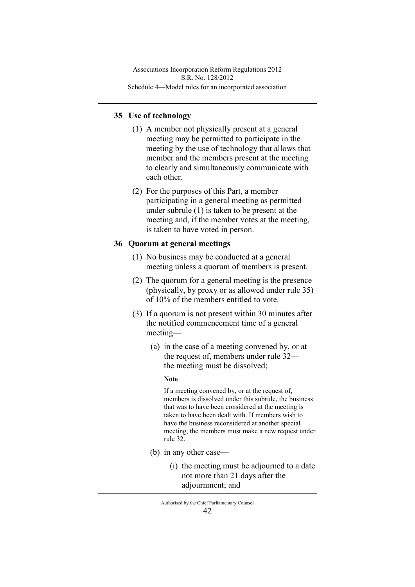# **35 Use of technology**

- (1) A member not physically present at a general meeting may be permitted to participate in the meeting by the use of technology that allows that member and the members present at the meeting to clearly and simultaneously communicate with each other.
- (2) For the purposes of this Part, a member participating in a general meeting as permitted under subrule (1) is taken to be present at the meeting and, if the member votes at the meeting, is taken to have voted in person.

# **36 Quorum at general meetings**

- (1) No business may be conducted at a general meeting unless a quorum of members is present.
- (2) The quorum for a general meeting is the presence (physically, by proxy or as allowed under rule 35) of 10% of the members entitled to vote.
- (3) If a quorum is not present within 30 minutes after the notified commencement time of a general meeting—
	- (a) in the case of a meeting convened by, or at the request of, members under rule 32 the meeting must be dissolved;

### **Note**

If a meeting convened by, or at the request of, members is dissolved under this subrule, the business that was to have been considered at the meeting is taken to have been dealt with. If members wish to have the business reconsidered at another special meeting, the members must make a new request under rule 32.

- (b) in any other case—
	- (i) the meeting must be adjourned to a date not more than 21 days after the adjournment; and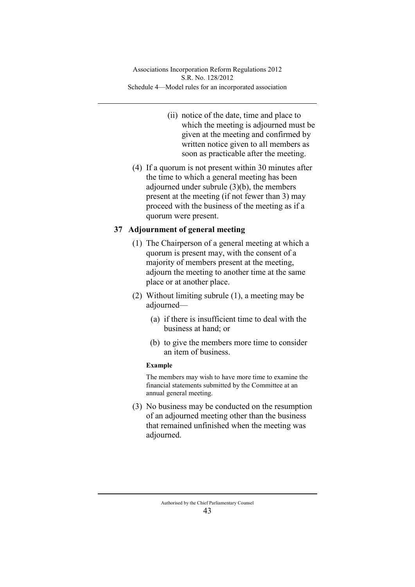- (ii) notice of the date, time and place to which the meeting is adjourned must be given at the meeting and confirmed by written notice given to all members as soon as practicable after the meeting.
- (4) If a quorum is not present within 30 minutes after the time to which a general meeting has been adjourned under subrule (3)(b), the members present at the meeting (if not fewer than 3) may proceed with the business of the meeting as if a quorum were present.

# **37 Adjournment of general meeting**

- (1) The Chairperson of a general meeting at which a quorum is present may, with the consent of a majority of members present at the meeting, adjourn the meeting to another time at the same place or at another place.
- (2) Without limiting subrule (1), a meeting may be adjourned—
	- (a) if there is insufficient time to deal with the business at hand; or
	- (b) to give the members more time to consider an item of business.

## **Example**

The members may wish to have more time to examine the financial statements submitted by the Committee at an annual general meeting.

(3) No business may be conducted on the resumption of an adjourned meeting other than the business that remained unfinished when the meeting was adjourned.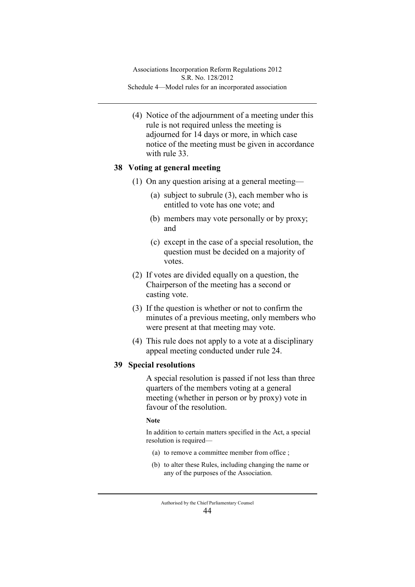(4) Notice of the adjournment of a meeting under this rule is not required unless the meeting is adjourned for 14 days or more, in which case notice of the meeting must be given in accordance with rule 33.

## **38 Voting at general meeting**

- (1) On any question arising at a general meeting—
	- (a) subject to subrule (3), each member who is entitled to vote has one vote; and
	- (b) members may vote personally or by proxy; and
	- (c) except in the case of a special resolution, the question must be decided on a majority of votes.
- (2) If votes are divided equally on a question, the Chairperson of the meeting has a second or casting vote.
- (3) If the question is whether or not to confirm the minutes of a previous meeting, only members who were present at that meeting may vote.
- (4) This rule does not apply to a vote at a disciplinary appeal meeting conducted under rule 24.

# **39 Special resolutions**

A special resolution is passed if not less than three quarters of the members voting at a general meeting (whether in person or by proxy) vote in favour of the resolution.

#### **Note**

In addition to certain matters specified in the Act, a special resolution is required—

- (a) to remove a committee member from office ;
- (b) to alter these Rules, including changing the name or any of the purposes of the Association.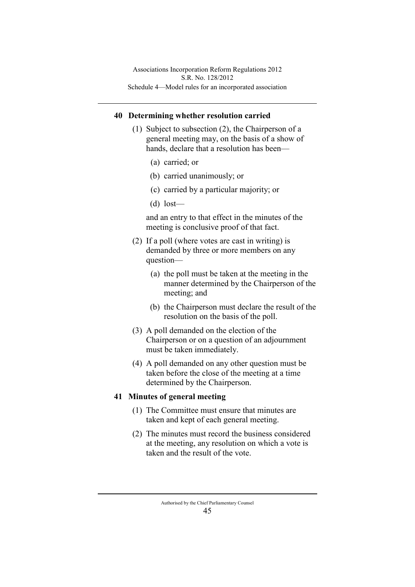# **40 Determining whether resolution carried**

- (1) Subject to subsection (2), the Chairperson of a general meeting may, on the basis of a show of hands, declare that a resolution has been—
	- (a) carried; or
	- (b) carried unanimously; or
	- (c) carried by a particular majority; or
	- (d) lost—

and an entry to that effect in the minutes of the meeting is conclusive proof of that fact.

- (2) If a poll (where votes are cast in writing) is demanded by three or more members on any question—
	- (a) the poll must be taken at the meeting in the manner determined by the Chairperson of the meeting; and
	- (b) the Chairperson must declare the result of the resolution on the basis of the poll.
- (3) A poll demanded on the election of the Chairperson or on a question of an adjournment must be taken immediately.
- (4) A poll demanded on any other question must be taken before the close of the meeting at a time determined by the Chairperson.

# **41 Minutes of general meeting**

- (1) The Committee must ensure that minutes are taken and kept of each general meeting.
- (2) The minutes must record the business considered at the meeting, any resolution on which a vote is taken and the result of the vote.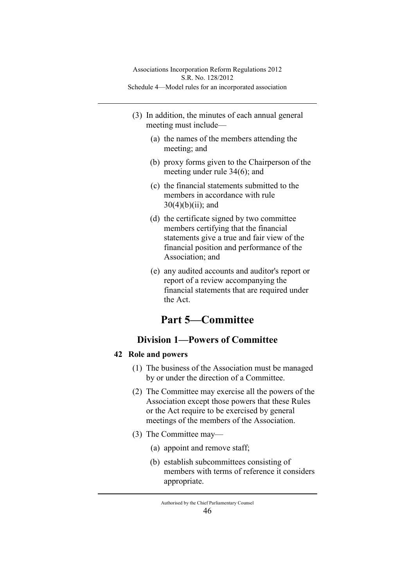- (3) In addition, the minutes of each annual general meeting must include—
	- (a) the names of the members attending the meeting; and
	- (b) proxy forms given to the Chairperson of the meeting under rule 34(6); and
	- (c) the financial statements submitted to the members in accordance with rule  $30(4)(b)(ii)$ ; and
	- (d) the certificate signed by two committee members certifying that the financial statements give a true and fair view of the financial position and performance of the Association; and
	- (e) any audited accounts and auditor's report or report of a review accompanying the financial statements that are required under the Act.

# **Part 5—Committee**

# **Division 1—Powers of Committee**

# **42 Role and powers**

- (1) The business of the Association must be managed by or under the direction of a Committee.
- (2) The Committee may exercise all the powers of the Association except those powers that these Rules or the Act require to be exercised by general meetings of the members of the Association.
- (3) The Committee may—
	- (a) appoint and remove staff;
	- (b) establish subcommittees consisting of members with terms of reference it considers appropriate.

Authorised by the Chief Parliamentary Counsel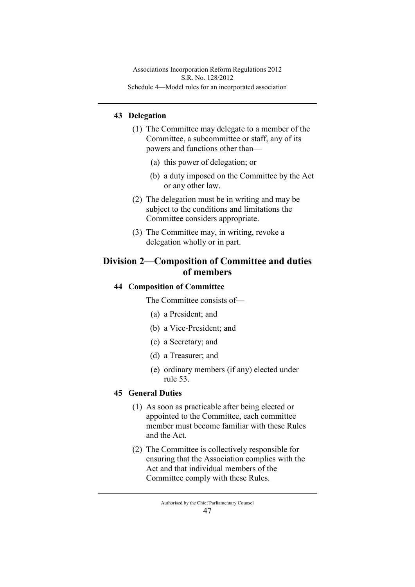# **43 Delegation**

- (1) The Committee may delegate to a member of the Committee, a subcommittee or staff, any of its powers and functions other than—
	- (a) this power of delegation; or
	- (b) a duty imposed on the Committee by the Act or any other law.
- (2) The delegation must be in writing and may be subject to the conditions and limitations the Committee considers appropriate.
- (3) The Committee may, in writing, revoke a delegation wholly or in part.

# **Division 2—Composition of Committee and duties of members**

# **44 Composition of Committee**

The Committee consists of—

- (a) a President; and
- (b) a Vice-President; and
- (c) a Secretary; and
- (d) a Treasurer; and
- (e) ordinary members (if any) elected under rule 53.

# **45 General Duties**

- (1) As soon as practicable after being elected or appointed to the Committee, each committee member must become familiar with these Rules and the Act.
- (2) The Committee is collectively responsible for ensuring that the Association complies with the Act and that individual members of the Committee comply with these Rules.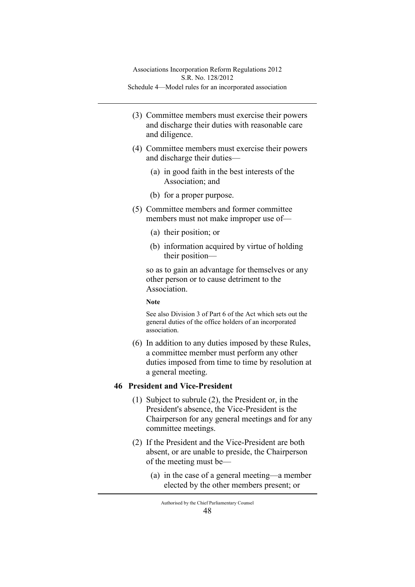- (3) Committee members must exercise their powers and discharge their duties with reasonable care and diligence.
- (4) Committee members must exercise their powers and discharge their duties—
	- (a) in good faith in the best interests of the Association; and
	- (b) for a proper purpose.
- (5) Committee members and former committee members must not make improper use of—
	- (a) their position; or
	- (b) information acquired by virtue of holding their position—

so as to gain an advantage for themselves or any other person or to cause detriment to the Association.

#### **Note**

See also Division 3 of Part 6 of the Act which sets out the general duties of the office holders of an incorporated association.

(6) In addition to any duties imposed by these Rules, a committee member must perform any other duties imposed from time to time by resolution at a general meeting.

# **46 President and Vice-President**

- (1) Subject to subrule (2), the President or, in the President's absence, the Vice-President is the Chairperson for any general meetings and for any committee meetings.
- (2) If the President and the Vice-President are both absent, or are unable to preside, the Chairperson of the meeting must be—
	- (a) in the case of a general meeting—a member elected by the other members present; or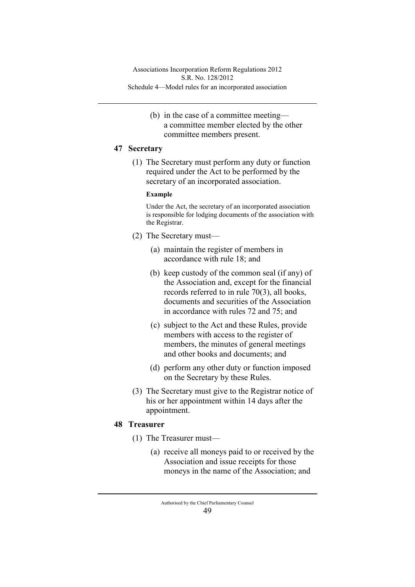(b) in the case of a committee meeting a committee member elected by the other committee members present.

# **47 Secretary**

(1) The Secretary must perform any duty or function required under the Act to be performed by the secretary of an incorporated association.

## **Example**

Under the Act, the secretary of an incorporated association is responsible for lodging documents of the association with the Registrar.

- (2) The Secretary must—
	- (a) maintain the register of members in accordance with rule 18; and
	- (b) keep custody of the common seal (if any) of the Association and, except for the financial records referred to in rule 70(3), all books, documents and securities of the Association in accordance with rules 72 and 75; and
	- (c) subject to the Act and these Rules, provide members with access to the register of members, the minutes of general meetings and other books and documents; and
	- (d) perform any other duty or function imposed on the Secretary by these Rules.
- (3) The Secretary must give to the Registrar notice of his or her appointment within 14 days after the appointment.

# **48 Treasurer**

- (1) The Treasurer must—
	- (a) receive all moneys paid to or received by the Association and issue receipts for those moneys in the name of the Association; and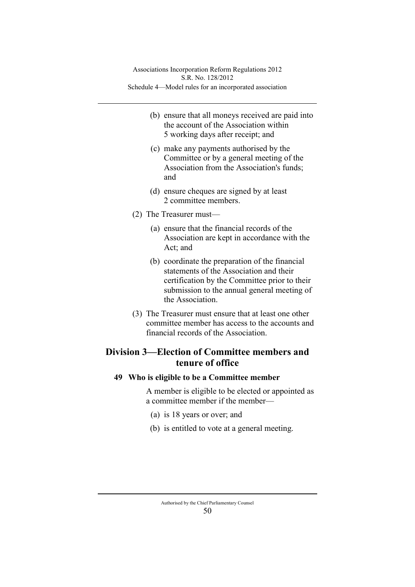- (b) ensure that all moneys received are paid into the account of the Association within 5 working days after receipt; and
- (c) make any payments authorised by the Committee or by a general meeting of the Association from the Association's funds; and
- (d) ensure cheques are signed by at least 2 committee members.
- (2) The Treasurer must—
	- (a) ensure that the financial records of the Association are kept in accordance with the Act; and
	- (b) coordinate the preparation of the financial statements of the Association and their certification by the Committee prior to their submission to the annual general meeting of the Association.
- (3) The Treasurer must ensure that at least one other committee member has access to the accounts and financial records of the Association.

# **Division 3—Election of Committee members and tenure of office**

# **49 Who is eligible to be a Committee member**

A member is eligible to be elected or appointed as a committee member if the member—

- (a) is 18 years or over; and
- (b) is entitled to vote at a general meeting.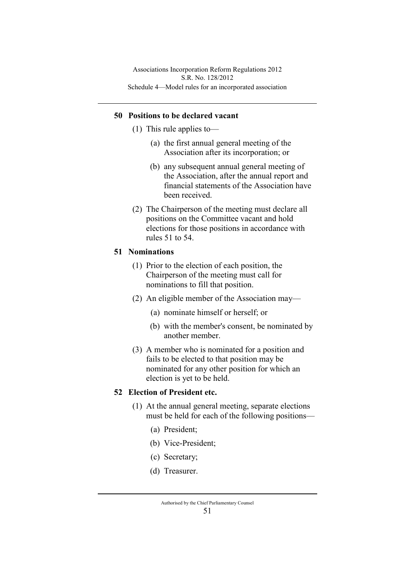## **50 Positions to be declared vacant**

- (1) This rule applies to—
	- (a) the first annual general meeting of the Association after its incorporation; or
	- (b) any subsequent annual general meeting of the Association, after the annual report and financial statements of the Association have been received.
- (2) The Chairperson of the meeting must declare all positions on the Committee vacant and hold elections for those positions in accordance with rules 51 to 54.

# **51 Nominations**

- (1) Prior to the election of each position, the Chairperson of the meeting must call for nominations to fill that position.
- (2) An eligible member of the Association may—
	- (a) nominate himself or herself; or
	- (b) with the member's consent, be nominated by another member.
- (3) A member who is nominated for a position and fails to be elected to that position may be nominated for any other position for which an election is yet to be held.

## **52 Election of President etc.**

- (1) At the annual general meeting, separate elections must be held for each of the following positions—
	- (a) President;
	- (b) Vice-President;
	- (c) Secretary;
	- (d) Treasurer.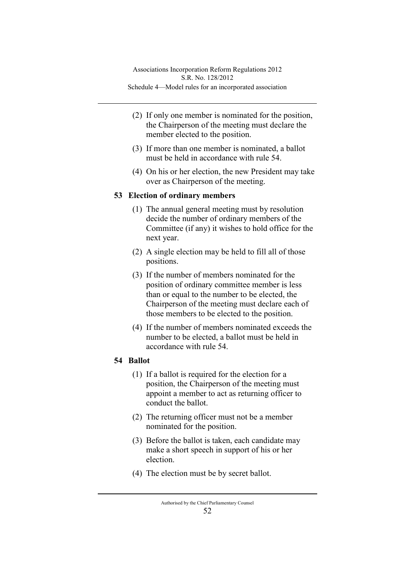- (2) If only one member is nominated for the position, the Chairperson of the meeting must declare the member elected to the position.
- (3) If more than one member is nominated, a ballot must be held in accordance with rule 54.
- (4) On his or her election, the new President may take over as Chairperson of the meeting.

## **53 Election of ordinary members**

- (1) The annual general meeting must by resolution decide the number of ordinary members of the Committee (if any) it wishes to hold office for the next year.
- (2) A single election may be held to fill all of those positions.
- (3) If the number of members nominated for the position of ordinary committee member is less than or equal to the number to be elected, the Chairperson of the meeting must declare each of those members to be elected to the position.
- (4) If the number of members nominated exceeds the number to be elected, a ballot must be held in accordance with rule 54.

### **54 Ballot**

- (1) If a ballot is required for the election for a position, the Chairperson of the meeting must appoint a member to act as returning officer to conduct the ballot.
- (2) The returning officer must not be a member nominated for the position.
- (3) Before the ballot is taken, each candidate may make a short speech in support of his or her election.
- (4) The election must be by secret ballot.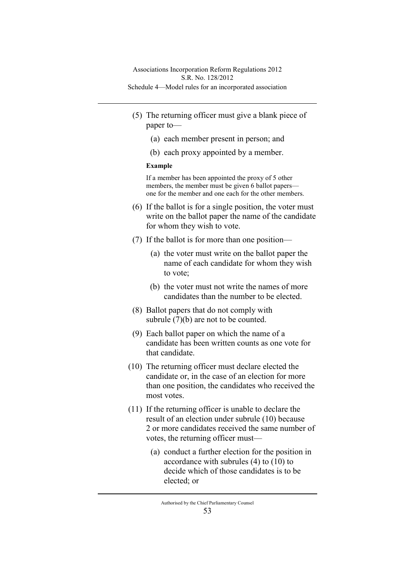- (5) The returning officer must give a blank piece of paper to—
	- (a) each member present in person; and
	- (b) each proxy appointed by a member.

#### **Example**

If a member has been appointed the proxy of 5 other members, the member must be given 6 ballot papers one for the member and one each for the other members.

- (6) If the ballot is for a single position, the voter must write on the ballot paper the name of the candidate for whom they wish to vote.
- (7) If the ballot is for more than one position—
	- (a) the voter must write on the ballot paper the name of each candidate for whom they wish to vote;
	- (b) the voter must not write the names of more candidates than the number to be elected.
- (8) Ballot papers that do not comply with subrule  $(7)(b)$  are not to be counted.
- (9) Each ballot paper on which the name of a candidate has been written counts as one vote for that candidate.
- (10) The returning officer must declare elected the candidate or, in the case of an election for more than one position, the candidates who received the most votes.
- (11) If the returning officer is unable to declare the result of an election under subrule (10) because 2 or more candidates received the same number of votes, the returning officer must—
	- (a) conduct a further election for the position in accordance with subrules (4) to (10) to decide which of those candidates is to be elected; or

Authorised by the Chief Parliamentary Counsel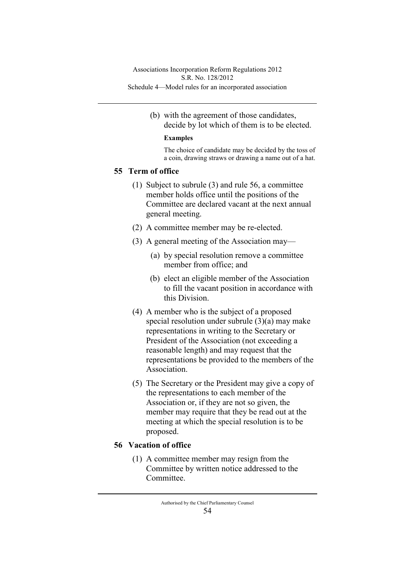> (b) with the agreement of those candidates, decide by lot which of them is to be elected.

#### **Examples**

The choice of candidate may be decided by the toss of a coin, drawing straws or drawing a name out of a hat.

## **55 Term of office**

- (1) Subject to subrule (3) and rule 56, a committee member holds office until the positions of the Committee are declared vacant at the next annual general meeting.
- (2) A committee member may be re-elected.
- (3) A general meeting of the Association may—
	- (a) by special resolution remove a committee member from office; and
	- (b) elect an eligible member of the Association to fill the vacant position in accordance with this Division.
- (4) A member who is the subject of a proposed special resolution under subrule (3)(a) may make representations in writing to the Secretary or President of the Association (not exceeding a reasonable length) and may request that the representations be provided to the members of the Association.
- (5) The Secretary or the President may give a copy of the representations to each member of the Association or, if they are not so given, the member may require that they be read out at the meeting at which the special resolution is to be proposed.

### **56 Vacation of office**

(1) A committee member may resign from the Committee by written notice addressed to the **Committee**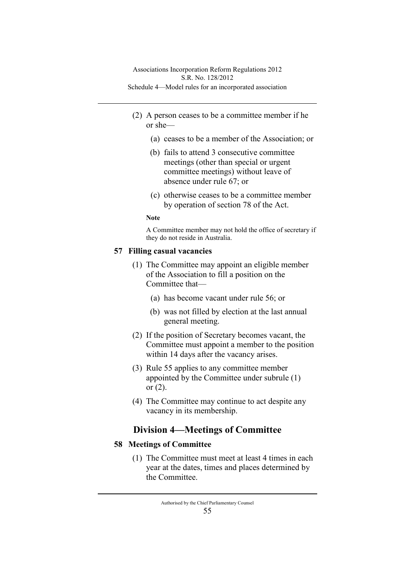- (2) A person ceases to be a committee member if he or she—
	- (a) ceases to be a member of the Association; or
	- (b) fails to attend 3 consecutive committee meetings (other than special or urgent committee meetings) without leave of absence under rule 67; or
	- (c) otherwise ceases to be a committee member by operation of section 78 of the Act.

## **Note**

A Committee member may not hold the office of secretary if they do not reside in Australia.

# **57 Filling casual vacancies**

- (1) The Committee may appoint an eligible member of the Association to fill a position on the Committee that—
	- (a) has become vacant under rule 56; or
	- (b) was not filled by election at the last annual general meeting.
- (2) If the position of Secretary becomes vacant, the Committee must appoint a member to the position within 14 days after the vacancy arises.
- (3) Rule 55 applies to any committee member appointed by the Committee under subrule (1) or (2).
- (4) The Committee may continue to act despite any vacancy in its membership.

# **Division 4—Meetings of Committee**

# **58 Meetings of Committee**

(1) The Committee must meet at least 4 times in each year at the dates, times and places determined by the Committee.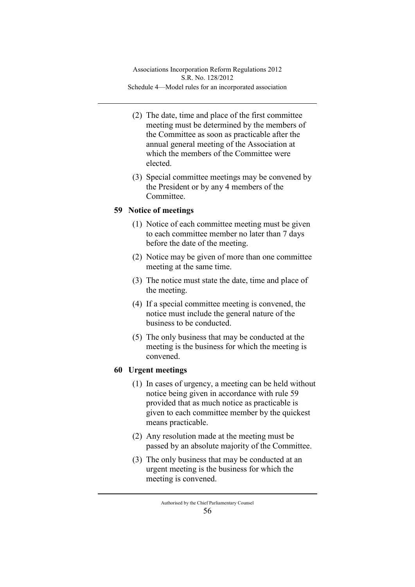- (2) The date, time and place of the first committee meeting must be determined by the members of the Committee as soon as practicable after the annual general meeting of the Association at which the members of the Committee were elected.
- (3) Special committee meetings may be convened by the President or by any 4 members of the Committee.

# **59 Notice of meetings**

- (1) Notice of each committee meeting must be given to each committee member no later than 7 days before the date of the meeting.
- (2) Notice may be given of more than one committee meeting at the same time.
- (3) The notice must state the date, time and place of the meeting.
- (4) If a special committee meeting is convened, the notice must include the general nature of the business to be conducted.
- (5) The only business that may be conducted at the meeting is the business for which the meeting is convened.

# **60 Urgent meetings**

- (1) In cases of urgency, a meeting can be held without notice being given in accordance with rule 59 provided that as much notice as practicable is given to each committee member by the quickest means practicable.
- (2) Any resolution made at the meeting must be passed by an absolute majority of the Committee.
- (3) The only business that may be conducted at an urgent meeting is the business for which the meeting is convened.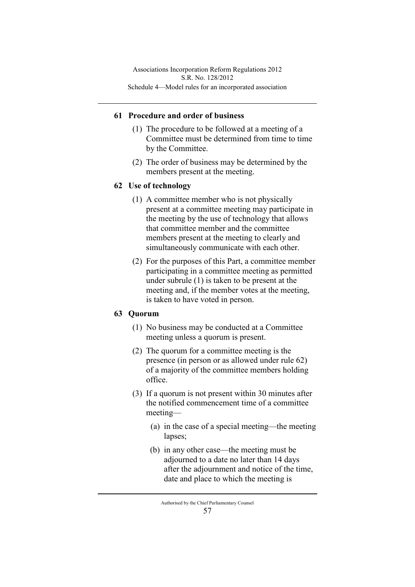# **61 Procedure and order of business**

- (1) The procedure to be followed at a meeting of a Committee must be determined from time to time by the Committee.
- (2) The order of business may be determined by the members present at the meeting.

## **62 Use of technology**

- (1) A committee member who is not physically present at a committee meeting may participate in the meeting by the use of technology that allows that committee member and the committee members present at the meeting to clearly and simultaneously communicate with each other.
- (2) For the purposes of this Part, a committee member participating in a committee meeting as permitted under subrule (1) is taken to be present at the meeting and, if the member votes at the meeting, is taken to have voted in person.

## **63 Quorum**

- (1) No business may be conducted at a Committee meeting unless a quorum is present.
- (2) The quorum for a committee meeting is the presence (in person or as allowed under rule 62) of a majority of the committee members holding office.
- (3) If a quorum is not present within 30 minutes after the notified commencement time of a committee meeting—
	- (a) in the case of a special meeting—the meeting lapses;
	- (b) in any other case—the meeting must be adjourned to a date no later than 14 days after the adjournment and notice of the time, date and place to which the meeting is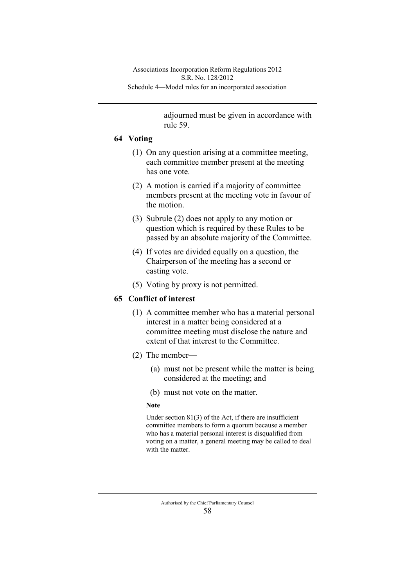adjourned must be given in accordance with rule 59.

### **64 Voting**

- (1) On any question arising at a committee meeting, each committee member present at the meeting has one vote.
- (2) A motion is carried if a majority of committee members present at the meeting vote in favour of the motion.
- (3) Subrule (2) does not apply to any motion or question which is required by these Rules to be passed by an absolute majority of the Committee.
- (4) If votes are divided equally on a question, the Chairperson of the meeting has a second or casting vote.
- (5) Voting by proxy is not permitted.

# **65 Conflict of interest**

- (1) A committee member who has a material personal interest in a matter being considered at a committee meeting must disclose the nature and extent of that interest to the Committee.
- (2) The member—
	- (a) must not be present while the matter is being considered at the meeting; and
	- (b) must not vote on the matter.

### **Note**

Under section 81(3) of the Act, if there are insufficient committee members to form a quorum because a member who has a material personal interest is disqualified from voting on a matter, a general meeting may be called to deal with the matter.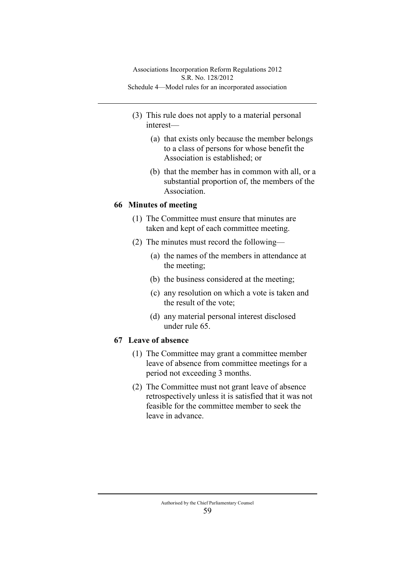- (3) This rule does not apply to a material personal interest—
	- (a) that exists only because the member belongs to a class of persons for whose benefit the Association is established; or
	- (b) that the member has in common with all, or a substantial proportion of, the members of the Association.

## **66 Minutes of meeting**

- (1) The Committee must ensure that minutes are taken and kept of each committee meeting.
- (2) The minutes must record the following—
	- (a) the names of the members in attendance at the meeting;
	- (b) the business considered at the meeting;
	- (c) any resolution on which a vote is taken and the result of the vote;
	- (d) any material personal interest disclosed under rule 65.

# **67 Leave of absence**

- (1) The Committee may grant a committee member leave of absence from committee meetings for a period not exceeding 3 months.
- (2) The Committee must not grant leave of absence retrospectively unless it is satisfied that it was not feasible for the committee member to seek the leave in advance.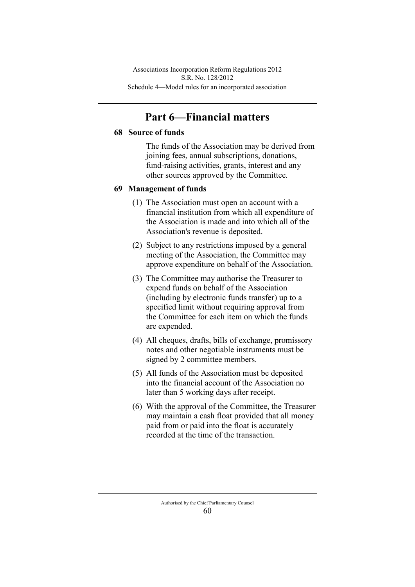# **Part 6—Financial matters**

## **68 Source of funds**

The funds of the Association may be derived from joining fees, annual subscriptions, donations, fund-raising activities, grants, interest and any other sources approved by the Committee.

## **69 Management of funds**

- (1) The Association must open an account with a financial institution from which all expenditure of the Association is made and into which all of the Association's revenue is deposited.
- (2) Subject to any restrictions imposed by a general meeting of the Association, the Committee may approve expenditure on behalf of the Association.
- (3) The Committee may authorise the Treasurer to expend funds on behalf of the Association (including by electronic funds transfer) up to a specified limit without requiring approval from the Committee for each item on which the funds are expended.
- (4) All cheques, drafts, bills of exchange, promissory notes and other negotiable instruments must be signed by 2 committee members.
- (5) All funds of the Association must be deposited into the financial account of the Association no later than 5 working days after receipt.
- (6) With the approval of the Committee, the Treasurer may maintain a cash float provided that all money paid from or paid into the float is accurately recorded at the time of the transaction.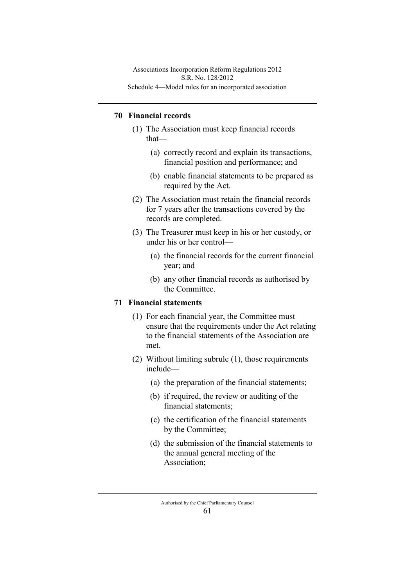## **70 Financial records**

- (1) The Association must keep financial records that—
	- (a) correctly record and explain its transactions, financial position and performance; and
	- (b) enable financial statements to be prepared as required by the Act.
- (2) The Association must retain the financial records for 7 years after the transactions covered by the records are completed.
- (3) The Treasurer must keep in his or her custody, or under his or her control—
	- (a) the financial records for the current financial year; and
	- (b) any other financial records as authorised by the Committee.

# **71 Financial statements**

- (1) For each financial year, the Committee must ensure that the requirements under the Act relating to the financial statements of the Association are met.
- (2) Without limiting subrule (1), those requirements include—
	- (a) the preparation of the financial statements;
	- (b) if required, the review or auditing of the financial statements;
	- (c) the certification of the financial statements by the Committee;
	- (d) the submission of the financial statements to the annual general meeting of the Association;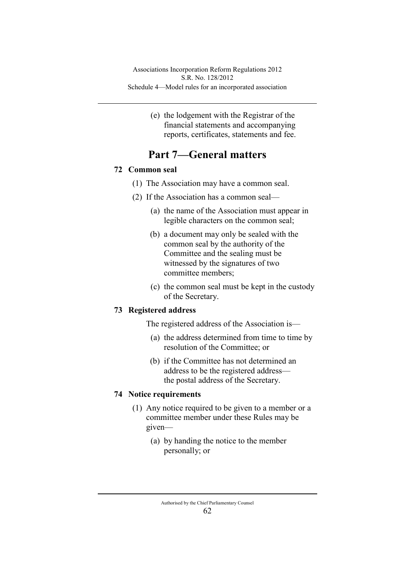(e) the lodgement with the Registrar of the financial statements and accompanying reports, certificates, statements and fee.

# **Part 7—General matters**

# **72 Common seal**

- (1) The Association may have a common seal.
- (2) If the Association has a common seal—
	- (a) the name of the Association must appear in legible characters on the common seal;
	- (b) a document may only be sealed with the common seal by the authority of the Committee and the sealing must be witnessed by the signatures of two committee members;
	- (c) the common seal must be kept in the custody of the Secretary.

# **73 Registered address**

The registered address of the Association is—

- (a) the address determined from time to time by resolution of the Committee; or
- (b) if the Committee has not determined an address to be the registered address the postal address of the Secretary.

# **74 Notice requirements**

- (1) Any notice required to be given to a member or a committee member under these Rules may be given—
	- (a) by handing the notice to the member personally; or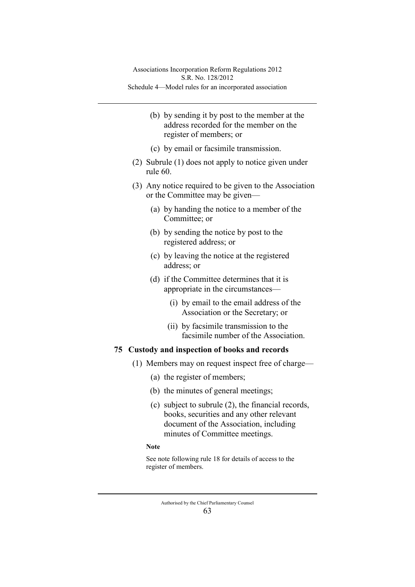- (b) by sending it by post to the member at the address recorded for the member on the register of members; or
- (c) by email or facsimile transmission.
- (2) Subrule (1) does not apply to notice given under rule 60.
- (3) Any notice required to be given to the Association or the Committee may be given—
	- (a) by handing the notice to a member of the Committee; or
	- (b) by sending the notice by post to the registered address; or
	- (c) by leaving the notice at the registered address; or
	- (d) if the Committee determines that it is appropriate in the circumstances—
		- (i) by email to the email address of the Association or the Secretary; or
		- (ii) by facsimile transmission to the facsimile number of the Association.

## **75 Custody and inspection of books and records**

- (1) Members may on request inspect free of charge—
	- (a) the register of members;
	- (b) the minutes of general meetings;
	- (c) subject to subrule (2), the financial records, books, securities and any other relevant document of the Association, including minutes of Committee meetings.

### **Note**

See note following rule 18 for details of access to the register of members.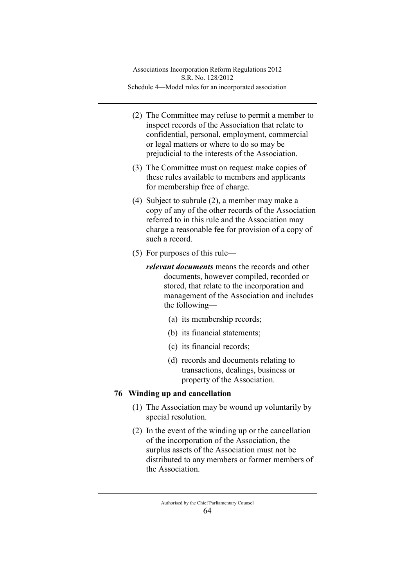- (2) The Committee may refuse to permit a member to inspect records of the Association that relate to confidential, personal, employment, commercial or legal matters or where to do so may be prejudicial to the interests of the Association.
- (3) The Committee must on request make copies of these rules available to members and applicants for membership free of charge.
- (4) Subject to subrule (2), a member may make a copy of any of the other records of the Association referred to in this rule and the Association may charge a reasonable fee for provision of a copy of such a record.
- (5) For purposes of this rule
	- *relevant documents* means the records and other documents, however compiled, recorded or stored, that relate to the incorporation and management of the Association and includes the following—
		- (a) its membership records;
		- (b) its financial statements;
		- (c) its financial records;
		- (d) records and documents relating to transactions, dealings, business or property of the Association.

# **76 Winding up and cancellation**

- (1) The Association may be wound up voluntarily by special resolution.
- (2) In the event of the winding up or the cancellation of the incorporation of the Association, the surplus assets of the Association must not be distributed to any members or former members of the Association.